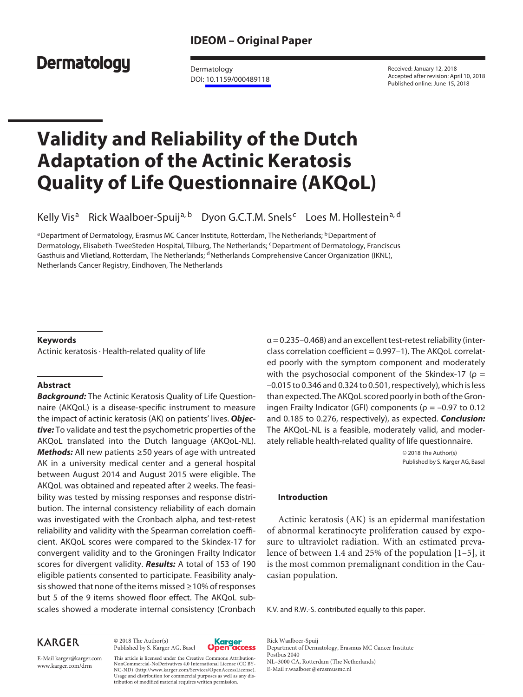# **IDEOM – Original Paper**

# **Dermatology**

Dermatology DOI: [10.1159/000489118](http://dx.doi.org/10.1159%2F000489118) Received: January 12, 2018 Accepted after revision: April 10, 2018 Published online: June 15, 2018

# **Validity and Reliability of the Dutch Adaptation of the Actinic Keratosis Quality of Life Questionnaire (AKQoL)**

Kelly Vis<sup>a</sup> Rick Waalboer-Spuij<sup>a, b</sup> Dyon G.C.T.M. Snels<sup>c</sup> Dyon G.C.T.M. Snels<sup>c</sup> Loes M. Hollestein<sup>a, d</sup>

<sup>a</sup>Department of Dermatology, Erasmus MC Cancer Institute, Rotterdam, The Netherlands; <sup>b</sup>Department of Dermatology, Elisabeth-TweeSteden Hospital, Tilburg, The Netherlands; <sup>c</sup>Department of Dermatology, Franciscus Gasthuis and Vlietland, Rotterdam, The Netherlands; <sup>d</sup>Netherlands Comprehensive Cancer Organization (IKNL), Netherlands Cancer Registry, Eindhoven, The Netherlands

#### **Keywords**

Actinic keratosis · Health-related quality of life

#### **Abstract**

*Background:* The Actinic Keratosis Quality of Life Questionnaire (AKQoL) is a disease-specific instrument to measure the impact of actinic keratosis (AK) on patients' lives. *Objective:* To validate and test the psychometric properties of the AKQoL translated into the Dutch language (AKQoL-NL). *Methods:* All new patients ≥50 years of age with untreated AK in a university medical center and a general hospital between August 2014 and August 2015 were eligible. The AKQoL was obtained and repeated after 2 weeks. The feasibility was tested by missing responses and response distribution. The internal consistency reliability of each domain was investigated with the Cronbach alpha, and test-retest reliability and validity with the Spearman correlation coefficient. AKQoL scores were compared to the Skindex-17 for convergent validity and to the Groningen Frailty Indicator scores for divergent validity. *Results:* A total of 153 of 190 eligible patients consented to participate. Feasibility analysis showed that none of the items missed ≥10% of responses but 5 of the 9 items showed floor effect. The AKQoL subscales showed a moderate internal consistency (Cronbach  $\alpha$  = 0.235-0.468) and an excellent test-retest reliability (interclass correlation coefficient = 0.997–1). The AKQoL correlated poorly with the symptom component and moderately with the psychosocial component of the Skindex-17 ( $\rho =$ –0.015 to 0.346 and 0.324 to 0.501, respectively), which is less than expected. The AKQoL scored poorly in both of the Groningen Frailty Indicator (GFI) components ( $\rho = -0.97$  to 0.12 and 0.185 to 0.276, respectively), as expected. *Conclusion:* The AKQoL-NL is a feasible, moderately valid, and moderately reliable health-related quality of life questionnaire.

> © 2018 The Author(s) Published by S. Karger AG, Basel

#### **Introduction**

Actinic keratosis (AK) is an epidermal manifestation of abnormal keratinocyte proliferation caused by exposure to ultraviolet radiation. With an estimated prevalence of between 1.4 and 25% of the population [1–5], it is the most common premalignant condition in the Caucasian population.

K.V. and R.W.-S. contributed equally to this paper.

# **KARGER**

© 2018 The Author(s) Published by S. Karger AG, Basel



E-Mail karger@karger.com www.karger.com/drm

This article is licensed under the Creative Commons Attribution-NonCommercial-NoDerivatives 4.0 International License (CC BY-NC-ND) (http://www.karger.com/Services/OpenAccessLicense). Usage and distribution for commercial purposes as well as any distribution of modified material requires written permission.

Rick Waalboer-Spuij Department of Dermatology, Erasmus MC Cancer Institute Postbus 2040 NL–3000 CA, Rotterdam (The Netherlands) E-Mail r.waalboer@erasmusmc.nl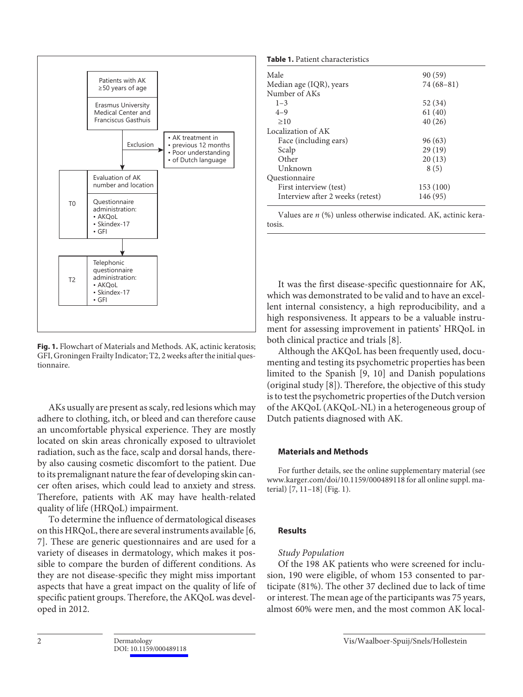

Fig. 1. Flowchart of Materials and Methods. AK, actinic keratosis; GFI, Groningen Frailty Indicator; T2, 2 weeks after the initial questionnaire.

AKs usually are present as scaly, red lesions which may adhere to clothing, itch, or bleed and can therefore cause an uncomfortable physical experience. They are mostly located on skin areas chronically exposed to ultraviolet radiation, such as the face, scalp and dorsal hands, thereby also causing cosmetic discomfort to the patient. Due to its premalignant nature the fear of developing skin cancer often arises, which could lead to anxiety and stress. Therefore, patients with AK may have health-related quality of life (HRQoL) impairment.

To determine the influence of dermatological diseases on this HRQoL, there are several instruments available [6, 7]. These are generic questionnaires and are used for a variety of diseases in dermatology, which makes it possible to compare the burden of different conditions. As they are not disease-specific they might miss important aspects that have a great impact on the quality of life of specific patient groups. Therefore, the AKQoL was developed in 2012.

DOI: [10.1159/000489118](http://dx.doi.org/10.1159%2F000489118)

| <b>Table 1.</b> Patient characteristics |  |
|-----------------------------------------|--|
|-----------------------------------------|--|

| Male                             | 90(59)      |
|----------------------------------|-------------|
| Median age (IQR), years          | $74(68-81)$ |
| Number of AKs                    |             |
| $1 - 3$                          | 52 (34)     |
| $4 - 9$                          | 61(40)      |
| >10                              | 40(26)      |
| Localization of AK               |             |
| Face (including ears)            | 96 (63)     |
| Scalp                            | 29(19)      |
| Other                            | 20(13)      |
| Unknown                          | 8(5)        |
| Questionnaire                    |             |
| First interview (test)           | 153 (100)   |
| Interview after 2 weeks (retest) | 146 (95)    |
|                                  |             |

Values are *n* (%) unless otherwise indicated. AK, actinic keratosis.

It was the first disease-specific questionnaire for AK, which was demonstrated to be valid and to have an excellent internal consistency, a high reproducibility, and a high responsiveness. It appears to be a valuable instrument for assessing improvement in patients' HRQoL in both clinical practice and trials [8].

Although the AKQoL has been frequently used, documenting and testing its psychometric properties has been limited to the Spanish [9, 10] and Danish populations (original study [8]). Therefore, the objective of this study is to test the psychometric properties of the Dutch version of the AKQoL (AKQoL-NL) in a heterogeneous group of Dutch patients diagnosed with AK.

#### **Materials and Methods**

For further details, see the online supplementary material (see www.karger.com/doi/10.1159/000489118 for all online suppl. material) [7, 11–18] (Fig. 1).

#### **Results**

# *Study Population*

Of the 198 AK patients who were screened for inclusion, 190 were eligible, of whom 153 consented to participate (81%). The other 37 declined due to lack of time or interest. The mean age of the participants was 75 years, almost 60% were men, and the most common AK local-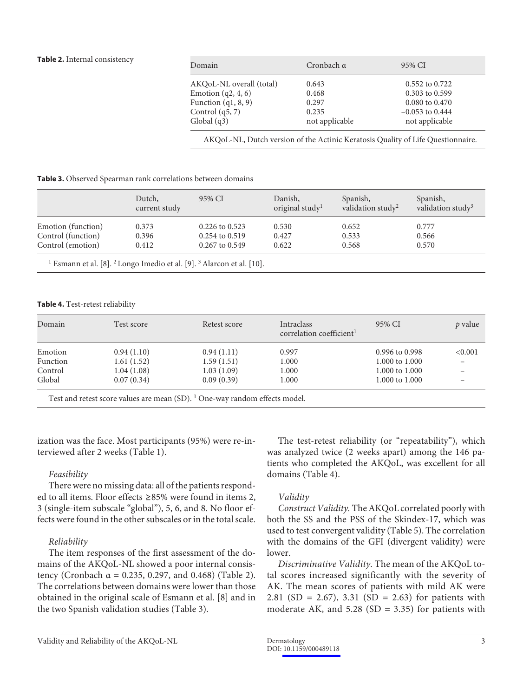#### **Table 2.** Internal consistency

| Domain                   | Cronbach a     | 95% CI                                                                          |
|--------------------------|----------------|---------------------------------------------------------------------------------|
| AKOoL-NL overall (total) | 0.643          | $0.552$ to $0.722$                                                              |
| Emotion $(q2, 4, 6)$     | 0.468          | 0.303 to 0.599                                                                  |
| Function $(q1, 8, 9)$    | 0.297          | 0.080 to 0.470                                                                  |
| Control $(q5, 7)$        | 0.235          | $-0.053$ to 0.444                                                               |
| Global $(q3)$            | not applicable | not applicable                                                                  |
|                          |                | AKQoL-NL, Dutch version of the Actinic Keratosis Quality of Life Questionnaire. |

**Table 3.** Observed Spearman rank correlations between domains

|                    | Dutch,<br>current study                                                                                 | 95% CI             | Danish,<br>original study <sup>1</sup> | Spanish,<br>validation study <sup>2</sup> | Spanish,<br>validation study <sup>3</sup> |
|--------------------|---------------------------------------------------------------------------------------------------------|--------------------|----------------------------------------|-------------------------------------------|-------------------------------------------|
| Emotion (function) | 0.373                                                                                                   | 0.226 to 0.523     | 0.530                                  | 0.652                                     | 0.777                                     |
| Control (function) | 0.396                                                                                                   | 0.254 to 0.519     | 0.427                                  | 0.533                                     | 0.566                                     |
| Control (emotion)  | 0.412                                                                                                   | $0.267$ to $0.549$ | 0.622                                  | 0.568                                     | 0.570                                     |
|                    | <sup>1</sup> Esmann et al. [8]. <sup>2</sup> Longo Imedio et al. [9]. <sup>3</sup> Alarcon et al. [10]. |                    |                                        |                                           |                                           |

**Table 4.** Test-retest reliability

| Domain   | Test score | Retest score | Intraclass<br>correlation coefficient <sup>1</sup> | 95% CI             | $p$ value |
|----------|------------|--------------|----------------------------------------------------|--------------------|-----------|
| Emotion  | 0.94(1.10) | 0.94(1.11)   | 0.997                                              | $0.996$ to $0.998$ | < 0.001   |
|          |            | 1.59(1.51)   | 1.000                                              | 1.000 to 1.000     |           |
| Control  | 1.04(1.08) | 1.03(1.09)   | 1.000                                              | 1.000 to 1.000     |           |
| Global   | 0.07(0.34) | 0.09(0.39)   | 1.000                                              | 1.000 to 1.000     |           |
| Function | 1.61(1.52) |              |                                                    |                    |           |

Test and retest score values are mean (SD). <sup>1</sup> One-way random effects model.

ization was the face. Most participants (95%) were re-interviewed after 2 weeks (Table 1).

# *Feasibility*

There were no missing data: all of the patients responded to all items. Floor effects ≥85% were found in items 2, 3 (single-item subscale "global"), 5, 6, and 8. No floor effects were found in the other subscales or in the total scale.

# *Reliability*

The item responses of the first assessment of the domains of the AKQoL-NL showed a poor internal consistency (Cronbach α = 0.235, 0.297, and 0.468) (Table 2). The correlations between domains were lower than those obtained in the original scale of Esmann et al. [8] and in the two Spanish validation studies (Table 3).

Validity and Reliability of the AKQoL-NL Dermatology 33

The test-retest reliability (or "repeatability"), which was analyzed twice (2 weeks apart) among the 146 patients who completed the AKQoL, was excellent for all domains (Table 4).

# *Validity*

*Construct Validity.* The AKQoL correlated poorly with both the SS and the PSS of the Skindex-17, which was used to test convergent validity (Table 5). The correlation with the domains of the GFI (divergent validity) were lower.

*Discriminative Validity.* The mean of the AKQoL total scores increased significantly with the severity of AK. The mean scores of patients with mild AK were 2.81 (SD = 2.67), 3.31 (SD = 2.63) for patients with moderate AK, and  $5.28$  (SD = 3.35) for patients with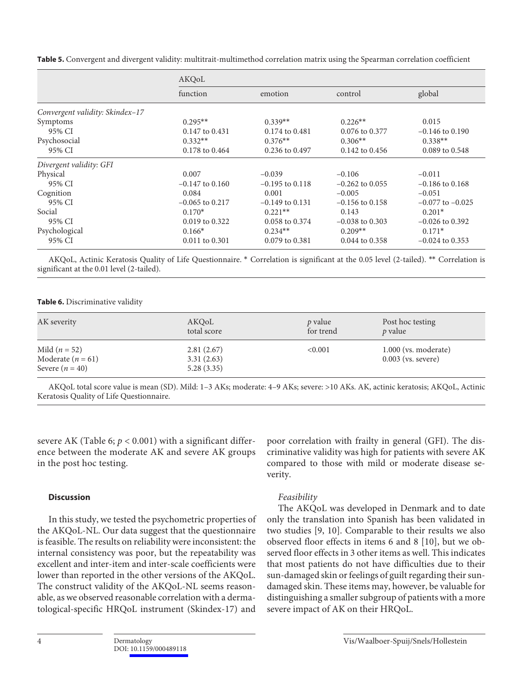|                                 | AKQoL               |                     |                   |                      |
|---------------------------------|---------------------|---------------------|-------------------|----------------------|
|                                 | function            | emotion             | control           | global               |
| Convergent validity: Skindex-17 |                     |                     |                   |                      |
| Symptoms                        | $0.295**$           | $0.339**$           | $0.226**$         | 0.015                |
| 95% CI                          | 0.147 to 0.431      | 0.174 to 0.481      | 0.076 to 0.377    | $-0.146$ to 0.190    |
| Psychosocial                    | $0.332**$           | $0.376**$           | $0.306**$         | $0.338**$            |
| 95% CI                          | 0.178 to 0.464      | 0.236 to 0.497      | 0.142 to 0.456    | 0.089 to 0.548       |
| Divergent validity: GFI         |                     |                     |                   |                      |
| Physical                        | 0.007               | $-0.039$            | $-0.106$          | $-0.011$             |
| 95% CI                          | $-0.147$ to $0.160$ | $-0.195$ to $0.118$ | $-0.262$ to 0.055 | $-0.186$ to 0.168    |
| Cognition                       | 0.084               | 0.001               | $-0.005$          | $-0.051$             |
| 95% CI                          | $-0.065$ to 0.217   | $-0.149$ to $0.131$ | $-0.156$ to 0.158 | $-0.077$ to $-0.025$ |
| Social                          | $0.170*$            | $0.221**$           | 0.143             | $0.201*$             |
| 95% CI                          | 0.019 to 0.322      | 0.058 to 0.374      | $-0.038$ to 0.303 | $-0.026$ to 0.392    |
| Psychological                   | $0.166*$            | $0.234**$           | $0.209**$         | $0.171*$             |
| 95% CI                          | 0.011 to 0.301      | 0.079 to 0.381      | 0.044 to 0.358    | $-0.024$ to 0.353    |

**Table 5.** Convergent and divergent validity: multitrait-multimethod correlation matrix using the Spearman correlation coefficient

AKQoL, Actinic Keratosis Quality of Life Questionnaire. \* Correlation is significant at the 0.05 level (2-tailed). \*\* Correlation is significant at the 0.01 level (2-tailed).

#### **Table 6.** Discriminative validity

| AK severity         | AKOoL<br>total score | <i>p</i> value<br>for trend | Post hoc testing<br><i>p</i> value |
|---------------------|----------------------|-----------------------------|------------------------------------|
| Mild $(n = 52)$     | 2.81(2.67)           | < 0.001                     | $1.000$ (vs. moderate)             |
| Moderate $(n = 61)$ | 3.31(2.63)           |                             | $0.003$ (vs. severe)               |
| Severe $(n = 40)$   | 5.28(3.35)           |                             |                                    |

AKQoL total score value is mean (SD). Mild: 1–3 AKs; moderate: 4–9 AKs; severe: >10 AKs. AK, actinic keratosis; AKQoL, Actinic Keratosis Quality of Life Questionnaire.

severe AK (Table 6;  $p < 0.001$ ) with a significant difference between the moderate AK and severe AK groups in the post hoc testing.

#### **Discussion**

In this study, we tested the psychometric properties of the AKQoL-NL. Our data suggest that the questionnaire is feasible. The results on reliability were inconsistent: the internal consistency was poor, but the repeatability was excellent and inter-item and inter-scale coefficients were lower than reported in the other versions of the AKQoL. The construct validity of the AKQoL-NL seems reasonable, as we observed reasonable correlation with a dermatological-specific HRQoL instrument (Skindex-17) and

poor correlation with frailty in general (GFI). The discriminative validity was high for patients with severe AK compared to those with mild or moderate disease severity.

# *Feasibility*

The AKQoL was developed in Denmark and to date only the translation into Spanish has been validated in two studies [9, 10]. Comparable to their results we also observed floor effects in items 6 and 8 [10], but we observed floor effects in 3 other items as well. This indicates that most patients do not have difficulties due to their sun-damaged skin or feelings of guilt regarding their sundamaged skin. These items may, however, be valuable for distinguishing a smaller subgroup of patients with a more severe impact of AK on their HRQoL.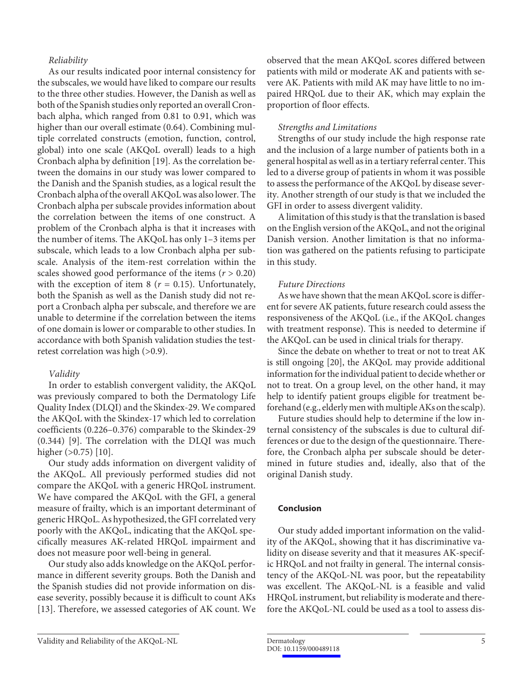# *Reliability*

As our results indicated poor internal consistency for the subscales, we would have liked to compare our results to the three other studies. However, the Danish as well as both of the Spanish studies only reported an overall Cronbach alpha, which ranged from 0.81 to 0.91, which was higher than our overall estimate (0.64). Combining multiple correlated constructs (emotion, function, control, global) into one scale (AKQoL overall) leads to a high Cronbach alpha by definition [19]. As the correlation between the domains in our study was lower compared to the Danish and the Spanish studies, as a logical result the Cronbach alpha of the overall AKQoL was also lower. The Cronbach alpha per subscale provides information about the correlation between the items of one construct. A problem of the Cronbach alpha is that it increases with the number of items. The AKQoL has only 1–3 items per subscale, which leads to a low Cronbach alpha per subscale. Analysis of the item-rest correlation within the scales showed good performance of the items (*r* > 0.20) with the exception of item 8 ( $r = 0.15$ ). Unfortunately, both the Spanish as well as the Danish study did not report a Cronbach alpha per subscale, and therefore we are unable to determine if the correlation between the items of one domain is lower or comparable to other studies. In accordance with both Spanish validation studies the testretest correlation was high (>0.9).

# *Validity*

In order to establish convergent validity, the AKQoL was previously compared to both the Dermatology Life Quality Index (DLQI) and the Skindex-29. We compared the AKQoL with the Skindex-17 which led to correlation coefficients (0.226–0.376) comparable to the Skindex-29 (0.344) [9]. The correlation with the DLQI was much higher (>0.75) [10].

Our study adds information on divergent validity of the AKQoL. All previously performed studies did not compare the AKQoL with a generic HRQoL instrument. We have compared the AKQoL with the GFI, a general measure of frailty, which is an important determinant of generic HRQoL. As hypothesized, the GFI correlated very poorly with the AKQoL, indicating that the AKQoL specifically measures AK-related HRQoL impairment and does not measure poor well-being in general.

Our study also adds knowledge on the AKQoL performance in different severity groups. Both the Danish and the Spanish studies did not provide information on disease severity, possibly because it is difficult to count AKs [13]. Therefore, we assessed categories of AK count. We observed that the mean AKQoL scores differed between patients with mild or moderate AK and patients with severe AK. Patients with mild AK may have little to no impaired HRQoL due to their AK, which may explain the proportion of floor effects.

# *Strengths and Limitations*

Strengths of our study include the high response rate and the inclusion of a large number of patients both in a general hospital as well as in a tertiary referral center. This led to a diverse group of patients in whom it was possible to assess the performance of the AKQoL by disease severity. Another strength of our study is that we included the GFI in order to assess divergent validity.

A limitation of this study is that the translation is based on the English version of the AKQoL, and not the original Danish version. Another limitation is that no information was gathered on the patients refusing to participate in this study.

# *Future Directions*

As we have shown that the mean AKQoL score is different for severe AK patients, future research could assess the responsiveness of the AKQoL (i.e., if the AKQoL changes with treatment response). This is needed to determine if the AKQoL can be used in clinical trials for therapy.

Since the debate on whether to treat or not to treat AK is still ongoing [20], the AKQoL may provide additional information for the individual patient to decide whether or not to treat. On a group level, on the other hand, it may help to identify patient groups eligible for treatment beforehand (e.g., elderly men with multiple AKs on the scalp).

Future studies should help to determine if the low internal consistency of the subscales is due to cultural differences or due to the design of the questionnaire. Therefore, the Cronbach alpha per subscale should be determined in future studies and, ideally, also that of the original Danish study.

# **Conclusion**

Our study added important information on the validity of the AKQoL, showing that it has discriminative validity on disease severity and that it measures AK-specific HRQoL and not frailty in general. The internal consistency of the AKQoL-NL was poor, but the repeatability was excellent. The AKQoL-NL is a feasible and valid HRQoL instrument, but reliability is moderate and therefore the AKQoL-NL could be used as a tool to assess dis-

Validity and Reliability of the AKQoL-NL Dermatology 5